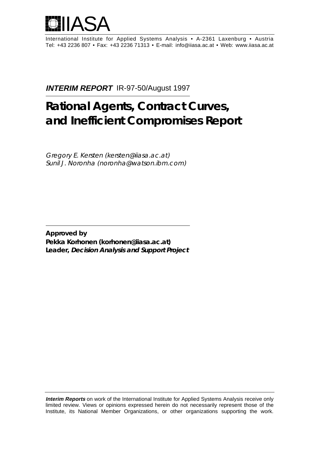

International Institute for Applied Systems Analysis • A-2361 Laxenburg • Austria Tel: +43 2236 807 • Fax: +43 2236 71313 • E-mail: info@iiasa.ac.at • Web: www.iiasa.ac.at

**INTERIM REPORT** IR-97-50/August 1997

# **Rational Agents, Contract Curves, and Inefficient Compromises Report**

Gregory E. Kersten (kersten@iiasa.ac.at) Sunil J. Noronha (noronha@watson.ibm.com)

**Approved by Pekka Korhonen (korhonen@iiasa.ac.at) Leader, Decision Analysis and Support Project**

**Interim Reports** on work of the International Institute for Applied Systems Analysis receive only limited review. Views or opinions expressed herein do not necessarily represent those of the Institute, its National Member Organizations, or other organizations supporting the work.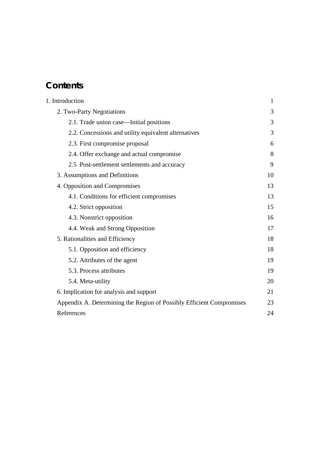## **Contents**

| 1. Introduction                                                      | $\mathbf{1}$ |
|----------------------------------------------------------------------|--------------|
| 2. Two-Party Negotiations                                            | 3            |
| 2.1. Trade union case—Initial positions                              | 3            |
| 2.2. Concessions and utility equivalent alternatives                 | 3            |
| 2.3. First compromise proposal                                       | 6            |
| 2.4. Offer exchange and actual compromise                            | 8            |
| 2.5 Post-settlement settlements and accuracy                         | 9            |
| 3. Assumptions and Definitions                                       | 10           |
| 4. Opposition and Compromises                                        | 13           |
| 4.1. Conditions for efficient compromises                            | 13           |
| 4.2. Strict opposition                                               | 15           |
| 4.3. Nonstrict opposition                                            | 16           |
| 4.4. Weak and Strong Opposition                                      | 17           |
| 5. Rationalities and Efficiency                                      | 18           |
| 5.1. Opposition and efficiency                                       | 18           |
| 5.2. Attributes of the agent                                         | 19           |
| 5.3. Process attributes                                              | 19           |
| 5.4. Meta-utility                                                    | 20           |
| 6. Implication for analysis and support                              | 21           |
| Appendix A. Determining the Region of Possibly Efficient Compromises | 23           |
| References                                                           | 24           |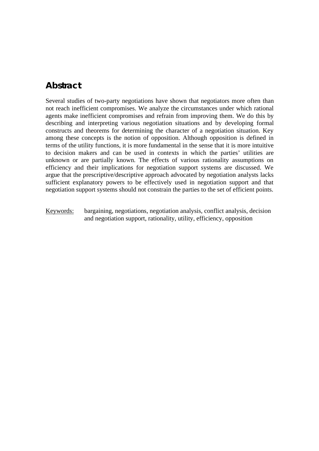## **Abstract**

Several studies of two-party negotiations have shown that negotiators more often than not reach inefficient compromises. We analyze the circumstances under which rational agents make inefficient compromises and refrain from improving them. We do this by describing and interpreting various negotiation situations and by developing formal constructs and theorems for determining the character of a negotiation situation. Key among these concepts is the notion of opposition. Although opposition is defined in terms of the utility functions, it is more fundamental in the sense that it is more intuitive to decision makers and can be used in contexts in which the parties' utilities are unknown or are partially known. The effects of various rationality assumptions on efficiency and their implications for negotiation support systems are discussed. We argue that the prescriptive/descriptive approach advocated by negotiation analysts lacks sufficient explanatory powers to be effectively used in negotiation support and that negotiation support systems should not constrain the parties to the set of efficient points.

Keywords: bargaining, negotiations, negotiation analysis, conflict analysis, decision and negotiation support, rationality, utility, efficiency, opposition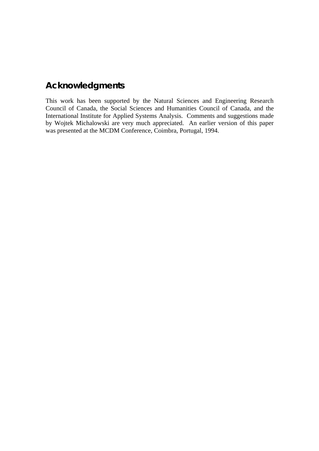## **Acknowledgments**

This work has been supported by the Natural Sciences and Engineering Research Council of Canada, the Social Sciences and Humanities Council of Canada, and the International Institute for Applied Systems Analysis. Comments and suggestions made by Wojtek Michalowski are very much appreciated. An earlier version of this paper was presented at the MCDM Conference, Coimbra, Portugal, 1994.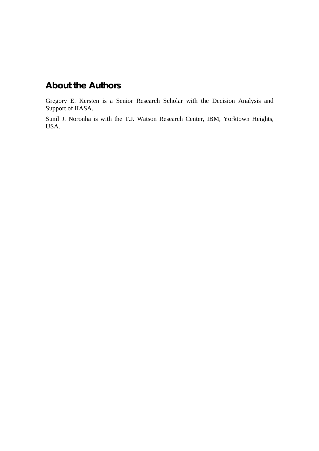## **About the Authors**

Gregory E. Kersten is a Senior Research Scholar with the Decision Analysis and Support of IIASA.

Sunil J. Noronha is with the T.J. Watson Research Center, IBM, Yorktown Heights, USA.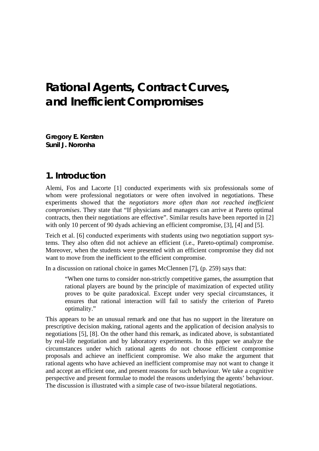## **Rational Agents, Contract Curves, and Inefficient Compromises**

**Gregory E. Kersten Sunil J. Noronha**

## **1. Introduction**

Alemi, Fos and Lacorte [1] conducted experiments with six professionals some of whom were professional negotiators or were often involved in negotiations. These experiments showed that the *negotiators more often than not reached inefficient compromises*. They state that "If physicians and managers can arrive at Pareto optimal contracts, then their negotiations are effective". Similar results have been reported in [2] with only 10 percent of 90 dyads achieving an efficient compromise, [3], [4] and [5].

Teich et al. [6] conducted experiments with students using two negotiation support systems. They also often did not achieve an efficient (i.e., Pareto-optimal) compromise. Moreover, when the students were presented with an efficient compromise they did not want to move from the inefficient to the efficient compromise.

In a discussion on rational choice in games McClennen [7], (p. 259) says that:

"When one turns to consider non-strictly competitive games, the assumption that rational players are bound by the principle of maximization of expected utility proves to be quite paradoxical. Except under very special circumstances, it ensures that rational interaction will fail to satisfy the criterion of Pareto optimality."

This appears to be an unusual remark and one that has no support in the literature on prescriptive decision making, rational agents and the application of decision analysis to negotiations [5], [8]. On the other hand this remark, as indicated above, is substantiated by real-life negotiation and by laboratory experiments. In this paper we analyze the circumstances under which rational agents do not choose efficient compromise proposals and achieve an inefficient compromise. We also make the argument that rational agents who have achieved an inefficient compromise may not want to change it and accept an efficient one, and present reasons for such behaviour. We take a cognitive perspective and present formulae to model the reasons underlying the agents' behaviour. The discussion is illustrated with a simple case of two-issue bilateral negotiations.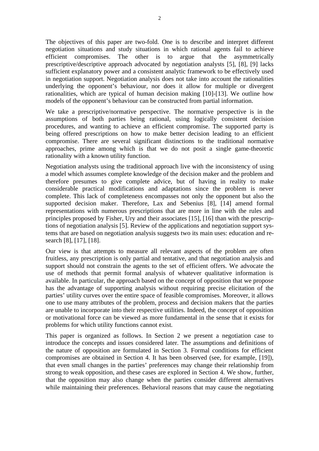The objectives of this paper are two-fold. One is to describe and interpret different negotiation situations and study situations in which rational agents fail to achieve efficient compromises. The other is to argue that the asymmetrically prescriptive/descriptive approach advocated by negotiation analysts [5], [8], [9] lacks sufficient explanatory power and a consistent analytic framework to be effectively used in negotiation support. Negotiation analysis does not take into account the rationalities underlying the opponent's behaviour, nor does it allow for multiple or divergent rationalities, which are typical of human decision making [10]-[13]. We outline how models of the opponent's behaviour can be constructed from partial information.

We take a prescriptive/normative perspective. The normative perspective is in the assumptions of both parties being rational, using logically consistent decision procedures, and wanting to achieve an efficient compromise. The supported party is being offered prescriptions on how to make better decision leading to an efficient compromise. There are several significant distinctions to the traditional normative approaches, prime among which is that we do not posit a single game-theoretic rationality with a known utility function.

Negotiation analysts using the traditional approach live with the inconsistency of using a model which assumes complete knowledge of the decision maker and the problem and therefore presumes to give complete advice, but of having in reality to make considerable practical modifications and adaptations since the problem is never complete. This lack of completeness encompasses not only the opponent but also the supported decision maker. Therefore, Lax and Sebenius [8], [14] amend formal representations with numerous prescriptions that are more in line with the rules and principles proposed by Fisher, Ury and their associates [15], [16] than with the prescriptions of negotiation analysis [5]. Review of the applications and negotiation support systems that are based on negotiation analysis suggests two its main uses: education and research [8], [17], [18].

Our view is that attempts to measure all relevant aspects of the problem are often fruitless, any prescription is only partial and tentative, and that negotiation analysis and support should not constrain the agents to the set of efficient offers. We advocate the use of methods that permit formal analysis of whatever qualitative information is available. In particular, the approach based on the concept of opposition that we propose has the advantage of supporting analysis without requiring precise elicitation of the parties' utility curves over the entire space of feasible compromises. Moreover, it allows one to use many attributes of the problem, process and decision makers that the parties are unable to incorporate into their respective utilities. Indeed, the concept of opposition or motivational force can be viewed as more fundamental in the sense that it exists for problems for which utility functions cannot exist.

This paper is organized as follows. In Section 2 we present a negotiation case to introduce the concepts and issues considered later. The assumptions and definitions of the nature of opposition are formulated in Section 3. Formal conditions for efficient compromises are obtained in Section 4. It has been observed (see, for example, [19]), that even small changes in the parties' preferences may change their relationship from strong to weak opposition, and these cases are explored in Section 4. We show, further, that the opposition may also change when the parties consider different alternatives while maintaining their preferences. Behavioral reasons that may cause the negotiating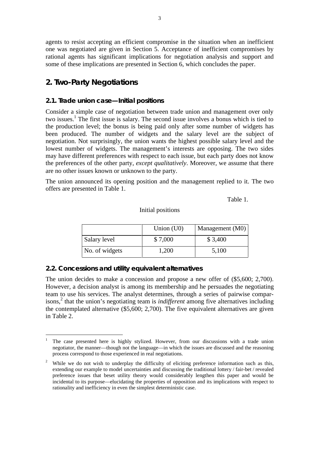agents to resist accepting an efficient compromise in the situation when an inefficient one was negotiated are given in Section 5. Acceptance of inefficient compromises by rational agents has significant implications for negotiation analysis and support and some of these implications are presented in Section 6, which concludes the paper.

## **2. Two-Party Negotiations**

## **2.1. Trade union case—Initial positions**

Consider a simple case of negotiation between trade union and management over only two issues.<sup>1</sup> The first issue is salary. The second issue involves a bonus which is tied to the production level; the bonus is being paid only after some number of widgets has been produced. The number of widgets and the salary level are the subject of negotiation. Not surprisingly, the union wants the highest possible salary level and the lowest number of widgets. The management's interests are opposing. The two sides may have different preferences with respect to each issue, but each party does not know the preferences of the other party, *except qualitatively*. Moreover, we assume that there are no other issues known or unknown to the party.

The union announced its opening position and the management replied to it. The two offers are presented in Table 1.

Table 1.

|                | Union $(U0)$ | Management (M0) |
|----------------|--------------|-----------------|
| Salary level   | \$7,000      | \$3,400         |
| No. of widgets | 1,200        | 5,100           |

## Initial positions

## **2.2. Concessions and utility equivalent alternatives**

The union decides to make a concession and propose a new offer of (\$5,600; 2,700). However, a decision analyst is among its membership and he persuades the negotiating team to use his services. The analyst determines, through a series of pairwise comparisons,<sup>2</sup> that the union's negotiating team is *indifferent* among five alternatives including the contemplated alternative (\$5,600; 2,700). The five equivalent alternatives are given in Table 2.

<sup>&</sup>lt;sup>1</sup> The case presented here is highly stylized. However, from our discussions with a trade union negotiator, the manner—though not the language—in which the issues are discussed and the reasoning process correspond to those experienced in real negotiations.

<sup>&</sup>lt;sup>2</sup> While we do not wish to underplay the difficulty of eliciting preference information such as this, extending our example to model uncertainties and discussing the traditional lottery / fair-bet / revealed preference issues that beset utility theory would considerably lengthen this paper and would be incidental to its purpose—elucidating the properties of opposition and its implications with respect to rationality and inefficiency in even the simplest deterministic case.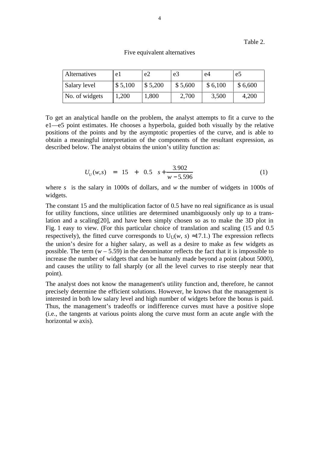| Alternatives   | el      | e <sub>2</sub> | e <sub>3</sub> | e4      | e5      |
|----------------|---------|----------------|----------------|---------|---------|
| Salary level   | \$5,100 | \$5,200        | \$5,600        | \$6,100 | \$6,600 |
| No. of widgets | 1,200   | 1,800          | 2,700          | 3,500   | 4,200   |

Five equivalent alternatives

To get an analytical handle on the problem, the analyst attempts to fit a curve to the e1—e5 point estimates. He chooses a hyperbola, guided both visually by the relative positions of the points and by the asymptotic properties of the curve, and is able to obtain a meaningful interpretation of the components of the resultant expression, as described below. The analyst obtains the union's utility function as:

$$
U_U(w,s) = 15 + 0.5\left(s + \frac{3.902}{w - 5.596}\right)
$$
 (1)

where *s* is the salary in 1000s of dollars, and *w* the number of widgets in 1000s of widgets.

The constant 15 and the multiplication factor of 0.5 have no real significance as is usual for utility functions, since utilities are determined unambiguously only up to a translation and a scaling[20], and have been simply chosen so as to make the 3D plot in Fig. 1 easy to view. (For this particular choice of translation and scaling (15 and 0.5 respectively), the fitted curve corresponds to  $U_U(w, s) \approx 17.1$ .) The expression reflects the union's desire for a higher salary, as well as a desire to make as few widgets as possible. The term  $(w - 5.59)$  in the denominator reflects the fact that it is impossible to increase the number of widgets that can be humanly made beyond a point (about 5000), and causes the utility to fall sharply (or all the level curves to rise steeply near that point).

The analyst does not know the management's utility function and, therefore, he cannot precisely determine the efficient solutions. However, he knows that the management is interested in both low salary level and high number of widgets before the bonus is paid. Thus, the management's tradeoffs or indifference curves must have a positive slope (i.e., the tangents at various points along the curve must form an acute angle with the horizontal *w* axis).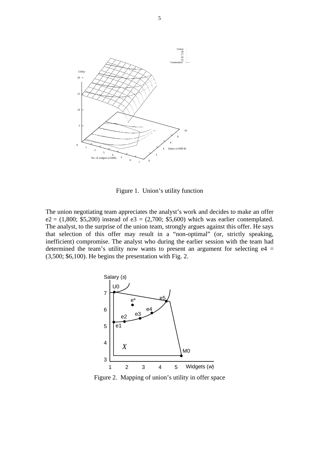

Figure 1. Union's utility function

The union negotiating team appreciates the analyst's work and decides to make an offer  $e2 = (1,800; $5,200)$  instead of  $e3 = (2,700; $5,600)$  which was earlier contemplated. The analyst, to the surprise of the union team, strongly argues against this offer. He says that selection of this offer may result in a "non-optimal" (or, strictly speaking, inefficient) compromise. The analyst who during the earlier session with the team had determined the team's utility now wants to present an argument for selecting  $e4 =$ (3,500; \$6,100). He begins the presentation with Fig. 2.



Figure 2. Mapping of union's utility in offer space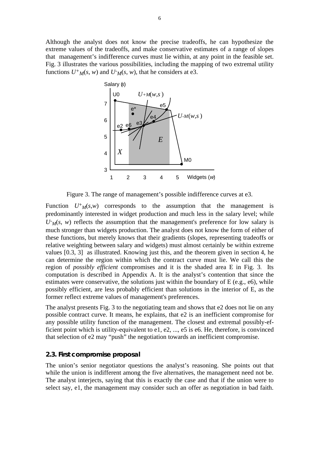Although the analyst does not know the precise tradeoffs, he can hypothesize the extreme values of the tradeoffs, and make conservative estimates of a range of slopes that management's indifference curves must lie within, at any point in the feasible set. Fig. 3 illustrates the various possibilities, including the mapping of two extremal utility functions  $U^+M(s, w)$  and  $U^M(s, w)$ , that he considers at e3.



Figure 3. The range of management's possible indifference curves at e3.

Function  $U^+$ <sub>*M*</sub>( $s$ ,*w*) corresponds to the assumption that the management is predominantly interested in widget production and much less in the salary level; while  $U<sub>M</sub>(s, w)$  reflects the assumption that the management's preference for low salary is much stronger than widgets production. The analyst does not know the form of either of these functions, but merely knows that their gradients (slopes, representing tradeoffs or relative weighting between salary and widgets) must almost certainly be within extreme values [0.3, 3] as illustrated. Knowing just this, and the theorem given in section 4, he can determine the region within which the contract curve must lie. We call this the region of *possibly efficient* compromises and it is the shaded area E in Fig. 3. Its computation is described in Appendix A. It is the analyst's contention that since the estimates were conservative, the solutions just within the boundary of E (e.g., e6), while possibly efficient, are less probably efficient than solutions in the interior of E, as the former reflect extreme values of management's preferences.

The analyst presents Fig. 3 to the negotiating team and shows that e2 does not lie on any possible contract curve. It means, he explains, that e2 is an inefficient compromise for any possible utility function of the management. The closest and extremal possibly-efficient point which is utility-equivalent to e1, e2, ..., e5 is e6. He, therefore, is convinced that selection of e2 may "push" the negotiation towards an inefficient compromise.

## **2.3. First compromise proposal**

The union's senior negotiator questions the analyst's reasoning. She points out that while the union is indifferent among the five alternatives, the management need not be. The analyst interjects, saying that this is exactly the case and that if the union were to select say, e1, the management may consider such an offer as negotiation in bad faith.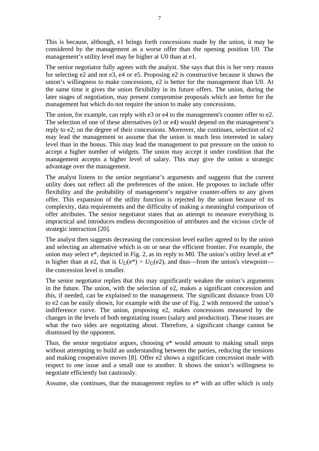This is because, although, e1 brings forth concessions made by the union, it may be considered by the management as a worse offer than the opening position U0. The management's utility level may be higher at U0 than at e1.

The senior negotiator fully agrees with the analyst. She says that this is her very reason for selecting e2 and not e3, e4 or e5. Proposing e2 is constructive because it shows the union's willingness to make concessions, e2 is better for the management than U0. At the same time it gives the union flexibility in its future offers. The union, during the later stages of negotiation, may present compromise proposals which are better for the management but which do not require the union to make any concessions.

The union, for example, can reply with e3 or e4 to the management's counter offer to e2. The selection of one of these alternatives (e3 or e4) would depend on the management's reply to e2; on the degree of their concessions. Moreover, she continues, selection of e2 may lead the management to assume that the union is much less interested in salary level than in the bonus. This may lead the management to put pressure on the union to accept a higher number of widgets. The union may accept it under condition that the management accepts a higher level of salary. This may give the union a strategic advantage over the management.

The analyst listens to the senior negotiator's arguments and suggests that the current utility does not reflect all the preferences of the union. He proposes to include offer flexibility and the probability of management's negative counter-offers to any given offer. This expansion of the utility function is rejected by the union because of its complexity, data requirements and the difficulty of making a meaningful comparison of offer attributes. The senior negotiator states that an attempt to measure everything is impractical and introduces endless decomposition of attributes and the vicious circle of strategic interaction [20].

The analyst then suggests decreasing the concession level earlier agreed to by the union and selecting an alternative which is on or near the efficient frontier. For example, the union may select  $e^*$ , depicted in Fig. 2, as its reply to M0. The union's utility level at  $e^*$ is higher than at e2, that is  $U_U(e^*) > U_U(e^*)$ , and thus—from the union's viewpoint the concession level is smaller.

The senior negotiator replies that this may significantly weaken the union's arguments in the future. The union, with the selection of e2, makes a significant concession and this, if needed, can be explained to the management. The significant distance from U0 to e2 can be easily shown, for example with the use of Fig. 2 with removed the union's indifference curve. The union, proposing e2, makes concessions measured by the changes in the levels of both negotiating issues (salary and production). These issues are what the two sides are negotiating about. Therefore, a significant change cannot be dismissed by the opponent.

Thus, the senior negotiator argues, choosing e\* would amount to making small steps without attempting to build an understanding between the parties, reducing the tensions and making cooperative moves [8]. Offer e2 shows a significant concession made with respect to one issue and a small one to another. It shows the union's willingness to negotiate efficiently but cautiously.

Assume, she continues, that the management replies to e\* with an offer which is only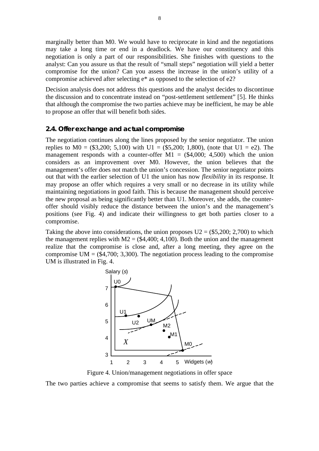marginally better than M0. We would have to reciprocate in kind and the negotiations may take a long time or end in a deadlock. We have our constituency and this negotiation is only a part of our responsibilities. She finishes with questions to the analyst: Can you assure us that the result of "small steps" negotiation will yield a better compromise for the union? Can you assess the increase in the union's utility of a compromise achieved after selecting e\* as opposed to the selection of e2?

Decision analysis does not address this questions and the analyst decides to discontinue the discussion and to concentrate instead on "post-settlement settlement" [5]. He thinks that although the compromise the two parties achieve may be inefficient, he may be able to propose an offer that will benefit both sides.

#### **2.4. Offer exchange and actual compromise**

The negotiation continues along the lines proposed by the senior negotiator. The union replies to M0 = (\$3,200; 5,100) with U1 = (\$5,200; 1,800), (note that U1 = e2). The management responds with a counter-offer  $M1 = (\$4,000; 4,500)$  which the union considers as an improvement over M0. However, the union believes that the management's offer does not match the union's concession. The senior negotiator points out that with the earlier selection of U1 the union has now *flexibility* in its response. It may propose an offer which requires a very small or no decrease in its utility while maintaining negotiations in good faith. This is because the management should perceive the new proposal as being significantly better than U1. Moreover, she adds, the counteroffer should visibly reduce the distance between the union's and the management's positions (see Fig. 4) and indicate their willingness to get both parties closer to a compromise.

Taking the above into considerations, the union proposes  $U2 = (\$5,200; 2,700)$  to which the management replies with  $M2 = (4,400; 4,100)$ . Both the union and the management realize that the compromise is close and, after a long meeting, they agree on the compromise  $UM = (\$4,700; 3,300)$ . The negotiation process leading to the compromise UM is illustrated in Fig. 4.



Figure 4. Union/management negotiations in offer space

The two parties achieve a compromise that seems to satisfy them. We argue that the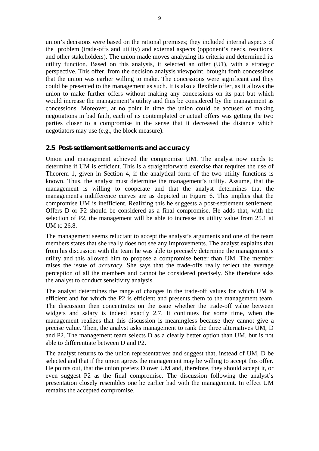union's decisions were based on the rational premises; they included internal aspects of the problem (trade-offs and utility) and external aspects (opponent's needs, reactions, and other stakeholders). The union made moves analyzing its criteria and determined its utility function. Based on this analysis, it selected an offer (U1), with a strategic perspective. This offer, from the decision analysis viewpoint, brought forth concessions that the union was earlier willing to make. The concessions were significant and they could be presented to the management as such. It is also a flexible offer, as it allows the union to make further offers without making any concessions on its part but which would increase the management's utility and thus be considered by the management as concessions. Moreover, at no point in time the union could be accused of making negotiations in bad faith, each of its contemplated or actual offers was getting the two parties closer to a compromise in the sense that it decreased the distance which negotiators may use (e.g., the block measure).

## **2.5 Post-settlement settlements and accuracy**

Union and management achieved the compromise UM. The analyst now needs to determine if UM is efficient. This is a straightforward exercise that requires the use of Theorem 1, given in Section 4, if the analytical form of the two utility functions is known. Thus, the analyst must determine the management's utility. Assume, that the management is willing to cooperate and that the analyst determines that the management's indifference curves are as depicted in Figure 6. This implies that the compromise UM is inefficient. Realizing this he suggests a post-settlement settlement. Offers D or P2 should be considered as a final compromise. He adds that, with the selection of P2, the management will be able to increase its utility value from 25.1 at UM to 26.8.

The management seems reluctant to accept the analyst's arguments and one of the team members states that she really does not see any improvements. The analyst explains that from his discussion with the team he was able to precisely determine the management's utility and this allowed him to propose a compromise better than UM. The member raises the issue of *accuracy*. She says that the trade-offs really reflect the average perception of all the members and cannot be considered precisely. She therefore asks the analyst to conduct sensitivity analysis.

The analyst determines the range of changes in the trade-off values for which UM is efficient and for which the P2 is efficient and presents them to the management team. The discussion then concentrates on the issue whether the trade-off value between widgets and salary is indeed exactly 2.7. It continues for some time, when the management realizes that this discussion is meaningless because they cannot give a precise value. Then, the analyst asks management to rank the three alternatives UM, D and P2. The management team selects D as a clearly better option than UM, but is not able to differentiate between D and P2.

The analyst returns to the union representatives and suggest that, instead of UM, D be selected and that if the union agrees the management may be willing to accept this offer. He points out, that the union prefers D over UM and, therefore, they should accept it, or even suggest P2 as the final compromise. The discussion following the analyst's presentation closely resembles one he earlier had with the management. In effect UM remains the accepted compromise.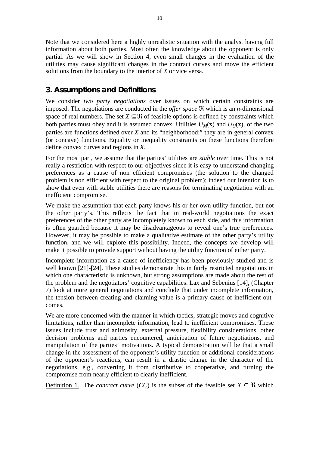Note that we considered here a highly unrealistic situation with the analyst having full information about both parties. Most often the knowledge about the opponent is only partial. As we will show in Section 4, even small changes in the evaluation of the utilities may cause significant changes in the contract curves and move the efficient solutions from the boundary to the interior of *X* or vice versa.

## **3. Assumptions and Definitions**

We consider *two party negotiations* over issues on which certain constraints are imposed. The negotiations are conducted in the *offer space* ℜ which is an *n*-dimensional space of real numbers. The set  $X \subset \Re$  of feasible options is defined by constraints which both parties must obey and it is assumed convex. Utilities  $U_M(\mathbf{x})$  and  $U_U(\mathbf{x})$ , of the two parties are functions defined over *X* and its "neighborhood;" they are in general convex (or concave) functions. Equality or inequality constraints on these functions therefore define convex curves and regions in *X*.

For the most part, we assume that the parties' utilities are *stable* over time. This is not really a restriction with respect to our objectives since it is easy to understand changing preferences as a cause of non efficient compromises (the solution to the changed problem is non efficient with respect to the original problem); indeed our intention is to show that even with stable utilities there are reasons for terminating negotiation with an inefficient compromise.

We make the assumption that each party knows his or her own utility function, but not the other party's. This reflects the fact that in real-world negotiations the exact preferences of the other party are incompletely known to each side, and this information is often guarded because it may be disadvantageous to reveal one's true preferences. However, it may be possible to make a qualitative estimate of the other party's utility function, and we will explore this possibility. Indeed, the concepts we develop will make it possible to provide support without having the utility function of either party.

Incomplete information as a cause of inefficiency has been previously studied and is well known [21]-[24]. These studies demonstrate this in fairly restricted negotiations in which one characteristic is unknown, but strong assumptions are made about the rest of the problem and the negotiators' cognitive capabilities. Lax and Sebenius [14], (Chapter 7) look at more general negotiations and conclude that under incomplete information, the tension between creating and claiming value is a primary cause of inefficient outcomes.

We are more concerned with the manner in which tactics, strategic moves and cognitive limitations, rather than incomplete information, lead to inefficient compromises. These issues include trust and animosity, external pressure, flexibility considerations, other decision problems and parties encountered, anticipation of future negotiations, and manipulation of the parties' motivations. A typical demonstration will be that a small change in the assessment of the opponent's utility function or additional considerations of the opponent's reactions, can result in a drastic change in the character of the negotiations, e.g., converting it from distributive to cooperative, and turning the compromise from nearly efficient to clearly inefficient.

Definition 1. The *contract curve* (*CC*) is the subset of the feasible set  $X \subseteq \Re$  which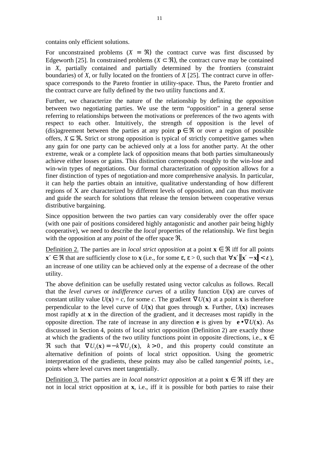contains only efficient solutions.

For unconstrained problems  $(X = \Re)$  the contract curve was first discussed by Edgeworth [25]. In constrained problems ( $X \subset \mathcal{R}$ ), the contract curve may be contained in *X*, partially contained and partially determined by the frontiers (constraint boundaries) of *X*, or fully located on the frontiers of *X* [25]. The contract curve in offerspace corresponds to the Pareto frontier in utility-space. Thus, the Pareto frontier and the contract curve are fully defined by the two utility functions and *X*.

Further, we characterize the nature of the relationship by defining the *opposition* between two negotiating parties. We use the term "opposition" in a general sense referring to relationships between the motivations or preferences of the two agents with respect to each other. Intuitively, the strength of opposition is the level of (dis)agreement between the parties at any point  $p \in \Re$  or over a region of possible offers,  $X \subseteq \mathcal{R}$ . Strict or strong opposition is typical of strictly competitive games when any gain for one party can be achieved only at a loss for another party. At the other extreme, weak or a complete lack of opposition means that both parties simultaneously achieve either losses or gains. This distinction corresponds roughly to the win-lose and win-win types of negotiations. Our formal characterization of opposition allows for a finer distinction of types of negotiation and more comprehensive analysis. In particular, it can help the parties obtain an intuitive, qualitative understanding of how different regions of X are characterized by different levels of opposition, and can thus motivate and guide the search for solutions that release the tension between cooperative versus distributive bargaining.

Since opposition between the two parties can vary considerably over the offer space (with one pair of positions considered highly antagonistic and another pair being highly cooperative), we need to describe the *local* properties of the relationship. We first begin with the opposition at any *point* of the offer space ℜ.

Definition 2. The parties are in *local strict opposition* at a point  $\mathbf{x} \in \mathcal{R}$  iff for all points **x**<sup>′</sup> ∈  $\mathcal{R}$  that are sufficiently close to **x** (i.e., for some  $\epsilon$ ,  $\epsilon > 0$ , such that  $\forall$ **x**′  $\|\mathbf{x}' - \mathbf{x}\| < \epsilon$ ), an increase of one utility can be achieved only at the expense of a decrease of the other utility.

The above definition can be usefully restated using vector calculus as follows. Recall that the *level curves* or *indifference curves* of a utility function  $U(x)$  are curves of constant utility value  $U(\mathbf{x}) = c$ , for some *c*. The gradient  $\nabla U(\mathbf{x})$  at a point **x** is therefore perpendicular to the level curve of  $U(\mathbf{x})$  that goes through **x**. Further,  $U(\mathbf{x})$  increases most rapidly at **x** in the direction of the gradient, and it decreases most rapidly in the opposite direction. The rate of increase in any direction **e** is given by  $e \cdot \nabla U(\mathbf{x})$ . As discussed in Section 4, points of local strict opposition (Definition 2) are exactly those at which the gradients of the two utility functions point in opposite directions, i.e.,  $\mathbf{x} \in \mathbb{R}$  $\mathcal{R}$  such that  $\nabla U_1(\mathbf{x}) = -k \nabla U_2(\mathbf{x})$ ,  $k > 0$ , and this property could constitute an alternative definition of points of local strict opposition. Using the geometric interpretation of the gradients, these points may also be called *tangential points*, i.e., points where level curves meet tangentially.

Definition 3. The parties are in *local nonstrict opposition* at a point  $\mathbf{x} \in \mathcal{R}$  iff they are not in local strict opposition at **x**, i.e., iff it is possible for both parties to raise their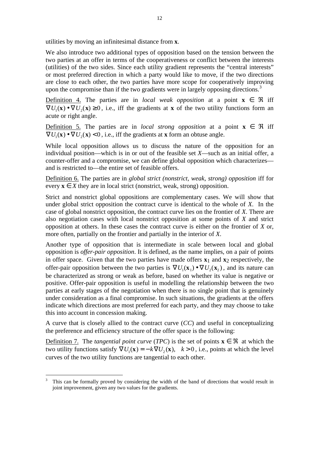utilities by moving an infinitesimal distance from **x**.

We also introduce two additional types of opposition based on the tension between the two parties at an offer in terms of the cooperativeness or conflict between the interests (utilities) of the two sides. Since each utility gradient represents the "central interests" or most preferred direction in which a party would like to move, if the two directions are close to each other, the two parties have more scope for cooperatively improving upon the compromise than if the two gradients were in largely opposing directions.<sup>3</sup>

Definition 4. The parties are in *local weak opposition* at a point  $\mathbf{x} \in \mathcal{R}$  iff  $\nabla U_1(\mathbf{x}) \bullet \nabla U_2(\mathbf{x}) \ge 0$ , i.e., iff the gradients at **x** of the two utility functions form an acute or right angle.

Definition 5. The parties are in *local strong opposition* at a point  $\mathbf{x} \in \mathcal{R}$  iff  $\nabla U_1(\mathbf{x}) \bullet \nabla U_2(\mathbf{x}) < 0$ , i.e., iff the gradients at **x** form an obtuse angle.

While local opposition allows us to discuss the nature of the opposition for an individual position—which is in or out of the feasible set *X*—such as an initial offer, a counter-offer and a compromise, we can define global opposition which characterizes and is restricted to—the entire set of feasible offers.

Definition 6. The parties are in *global strict (nonstrict, weak, strong) opposition* iff for every  $\mathbf{x} \in X$  they are in local strict (nonstrict, weak, strong) opposition.

Strict and nonstrict global oppositions are complementary cases. We will show that under global strict opposition the contract curve is identical to the whole of *X*. In the case of global nonstrict opposition, the contract curve lies on the frontier of *X*. There are also negotiation cases with local nonstrict opposition at some points of *X* and strict opposition at others. In these cases the contract curve is either on the frontier of *X* or, more often, partially on the frontier and partially in the interior of *X*.

Another type of opposition that is intermediate in scale between local and global opposition is *offer-pair opposition*. It is defined, as the name implies, on a pair of points in offer space. Given that the two parties have made offers  $x_1$  and  $x_2$  respectively, the offer-pair opposition between the two parties is  $\nabla U_1(\mathbf{x}_1) \bullet \nabla U_2(\mathbf{x}_2)$ , and its nature can be characterized as strong or weak as before, based on whether its value is negative or positive. Offer-pair opposition is useful in modelling the relationship between the two parties at early stages of the negotiation when there is no single point that is genuinely under consideration as a final compromise. In such situations, the gradients at the offers indicate which directions are most preferred for each party, and they may choose to take this into account in concession making.

A curve that is closely allied to the contract curve (*CC*) and useful in conceptualizing the preference and efficiency structure of the offer space is the following:

Definition 7. The *tangential point curve* (*TPC*) is the set of points  $\mathbf{x} \in \mathcal{R}$  at which the two utility functions satisfy  $\nabla U_1(\mathbf{x}) = -k \nabla U_2(\mathbf{x})$ ,  $k > 0$ , i.e., points at which the level curves of the two utility functions are tangential to each other.

<sup>&</sup>lt;sup>2</sup><br>3  $3\,\text{This}$  can be formally proved by considering the width of the band of directions that would result in joint improvement, given any two values for the gradients.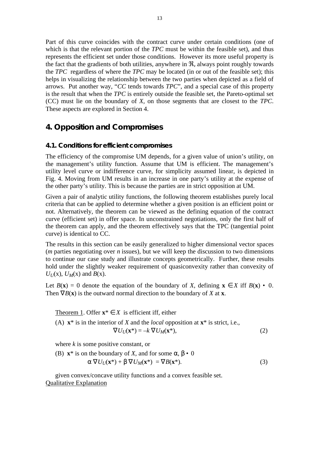Part of this curve coincides with the contract curve under certain conditions (one of which is that the relevant portion of the *TPC* must be within the feasible set), and thus represents the efficient set under those conditions. However its more useful property is the fact that the gradients of both utilities, anywhere in ℜ, always point roughly towards the *TPC* regardless of where the *TPC* may be located (in or out of the feasible set); this helps in visualizing the relationship between the two parties when depicted as a field of arrows. Put another way, "*CC* tends towards *TPC*", and a special case of this property is the result that when the *TPC* is entirely outside the feasible set, the Pareto-optimal set (CC) must lie on the boundary of *X,* on those segments that are closest to the *TPC*. These aspects are explored in Section 4.

## **4. Opposition and Compromises**

#### **4.1. Conditions for efficient compromises**

The efficiency of the compromise UM depends, for a given value of union's utility, on the management's utility function. Assume that UM is efficient. The management's utility level curve or indifference curve, for simplicity assumed linear, is depicted in Fig. 4. Moving from UM results in an increase in one party's utility at the expense of the other party's utility. This is because the parties are in strict opposition at UM.

Given a pair of analytic utility functions, the following theorem establishes purely local criteria that can be applied to determine whether a given position is an efficient point or not. Alternatively, the theorem can be viewed as the defining equation of the contract curve (efficient set) in offer space. In unconstrained negotiations, only the first half of the theorem can apply, and the theorem effectively says that the TPC (tangential point curve) is identical to CC.

The results in this section can be easily generalized to higher dimensional vector spaces (*m* parties negotiating over *n* issues), but we will keep the discussion to two dimensions to continue our case study and illustrate concepts geometrically. Further, these results hold under the slightly weaker requirement of quasiconvexity rather than convexity of  $U_U(x)$ ,  $U_M(x)$  and  $B(x)$ .

Let  $B(x) = 0$  denote the equation of the boundary of *X*, defining  $x \in X$  iff  $B(x) \cdot 0$ . Then  $\nabla B(\mathbf{x})$  is the outward normal direction to the boundary of *X* at **x**.

Theorem 1. Offer  $\mathbf{x}^*$  ∈ *X* is efficient iff, either

(A) 
$$
\mathbf{x}^*
$$
 is in the interior of *X* and the *local* opposition at  $\mathbf{x}^*$  is strict, i.e.,  
\n
$$
\nabla U_U(\mathbf{x}^*) = -k \nabla U_M(\mathbf{x}^*),
$$
\n(2)

where *k* is some positive constant, or

(B) 
$$
\mathbf{x}^*
$$
 is on the boundary of *X*, and for some  $\alpha$ ,  $\beta \cdot 0$   
\n
$$
\alpha \nabla U_U(\mathbf{x}^*) + \beta \nabla U_M(\mathbf{x}^*) = \nabla B(\mathbf{x}^*).
$$
\n(3)

given convex/concave utility functions and a convex feasible set. Qualitative Explanation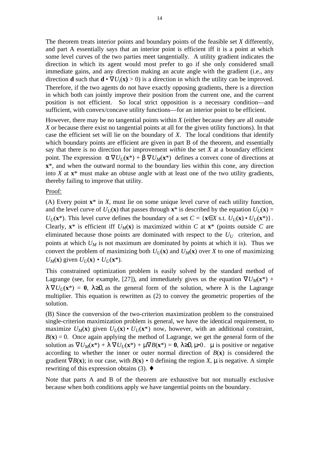The theorem treats interior points and boundary points of the feasible set *X* differently, and part A essentially says that an interior point is efficient iff it is a point at which some level curves of the two parties meet tangentially. A utility gradient indicates the direction in which its agent would most prefer to go if she only considered small immediate gains, and any direction making an acute angle with the gradient (i.e., any direction **d** such that  $\mathbf{d} \cdot \nabla U_i(\mathbf{x}) > 0$  is a direction in which the utility can be improved. Therefore, if the two agents do not have exactly opposing gradients, there is a direction in which both can jointly improve their position from the current one, and the current position is not efficient. So local strict opposition is a necessary condition—and sufficient, with convex/concave utility functions—for an interior point to be efficient.

However, there may be no tangential points within  $X$  (either because they are all outside *X* or because there exist no tangential points at all for the given utility functions). In that case the efficient set will lie on the boundary of *X*. The local conditions that identify which boundary points are efficient are given in part B of the theorem, and essentially say that there is no direction for improvement *within* the set *X* at a boundary efficient point. The expression  $\alpha \nabla U_U(\mathbf{x}^*) + \beta \nabla U_M(\mathbf{x}^*)$  defines a convex cone of directions at **x**<sup>\*</sup>, and when the outward normal to the boundary lies within this cone, any direction into *X* at  $\mathbf{x}^*$  must make an obtuse angle with at least one of the two utility gradients, thereby failing to improve that utility.

#### Proof:

(A) Every point **x**\* in *X*, must lie on some unique level curve of each utility function, and the level curve of  $U_U(\mathbf{x})$  that passes through  $\mathbf{x}^*$  is described by the equation  $U_U(\mathbf{x}) =$ *U*<sub>*U*</sub>(**x**<sup>\*</sup>). This level curve defines the boundary of a set *C* = {**x**∈*X* s.t. *U*<sub>*U*</sub>(**x**) • *U*<sub>*U*</sub>(**x**<sup>\*</sup>)}. Clearly,  $\mathbf{x}^*$  is efficient iff  $U_M(\mathbf{x})$  is maximized within *C* at  $\mathbf{x}^*$  (points outside *C* are eliminated because those points are dominated with respect to the  $U_U$  criterion, and points at which  $U_M$  is not maximum are dominated by points at which it is). Thus we convert the problem of maximizing both  $U_U(\mathbf{x})$  and  $U_M(\mathbf{x})$  over *X* to one of maximizing  $U_M(\mathbf{x})$  given  $U_U(\mathbf{x}) \cdot U_U(\mathbf{x}^*)$ .

This constrained optimization problem is easily solved by the standard method of Lagrange (see, for example, [27]), and immediately gives us the equation  $\nabla U_M(x^*)$  +  $\lambda \nabla U_{U}(\mathbf{x}^{*}) = \mathbf{0}$ ,  $\lambda \ge 0$ , as the general form of the solution, where  $\lambda$  is the Lagrange multiplier. This equation is rewritten as (2) to convey the geometric properties of the solution.

(B) Since the conversion of the two-criterion maximization problem to the constrained single-criterion maximization problem is general, we have the identical requirement, to maximize  $U_M(\mathbf{x})$  given  $U_U(\mathbf{x}) \cdot U_U(\mathbf{x}^*)$  now, however, with an additional constraint,  $B(x) = 0$ . Once again applying the method of Lagrange, we get the general form of the solution as  $\nabla U_M(\mathbf{x}^*) + \lambda \nabla U_U(\mathbf{x}^*) + \mu \nabla B(\mathbf{x}^*) = 0$ ,  $\lambda \ge 0$ ,  $\mu \cdot 0$ .  $\mu$  is positive or negative according to whether the inner or outer normal direction of  $B(x)$  is considered the gradient  $\nabla B(\mathbf{x})$ ; in our case, with  $B(\mathbf{x}) \cdot \mathbf{0}$  defining the region *X*,  $\mu$  is negative. A simple rewriting of this expression obtains (3).  $\triangleleft$ 

Note that parts A and B of the theorem are exhaustive but not mutually exclusive because when both conditions apply we have tangential points on the boundary.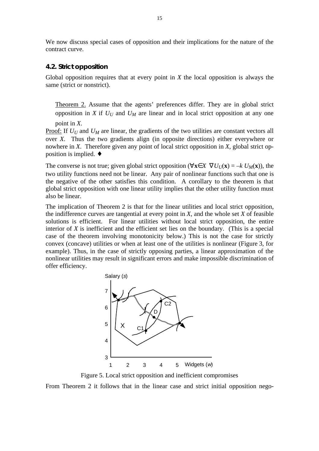We now discuss special cases of opposition and their implications for the nature of the contract curve.

#### **4.2. Strict opposition**

Global opposition requires that at every point in *X* the local opposition is always the same (strict or nonstrict).

Theorem 2. Assume that the agents' preferences differ. They are in global strict opposition in *X* if  $U_U$  and  $U_M$  are linear and in local strict opposition at any one point in *X*.

**Proof:** If  $U_U$  and  $U_M$  are linear, the gradients of the two utilities are constant vectors all over *X*. Thus the two gradients align (in opposite directions) either everywhere or nowhere in  $X$ . Therefore given any point of local strict opposition in  $X$ , global strict opposition is implied. ♦

The converse is not true; given global strict opposition ( $\forall$ **x**∈*X*  $\nabla U_U(\mathbf{x}) = -k U_M(\mathbf{x})$ ), the two utility functions need not be linear. Any pair of nonlinear functions such that one is the negative of the other satisfies this condition. A corollary to the theorem is that global strict opposition with one linear utility implies that the other utility function must also be linear.

The implication of Theorem 2 is that for the linear utilities and local strict opposition, the indifference curves are tangential at every point in *X*, and the whole set *X* of feasible solutions is efficient. For linear utilities without local strict opposition, the entire interior of *X* is inefficient and the efficient set lies on the boundary. (This is a special case of the theorem involving monotonicity below.) This is not the case for strictly convex (concave) utilities or when at least one of the utilities is nonlinear (Figure 3, for example). Thus, in the case of strictly opposing parties, a linear approximation of the nonlinear utilities may result in significant errors and make impossible discrimination of offer efficiency.



Figure 5. Local strict opposition and inefficient compromises

From Theorem 2 it follows that in the linear case and strict initial opposition nego-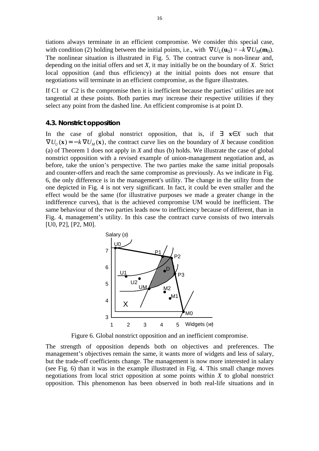tiations always terminate in an efficient compromise. We consider this special case, with condition (2) holding between the initial points, i.e., with  $\nabla U_U(\mathbf{u}_0) = -k \nabla U_M(\mathbf{m}_0)$ . The nonlinear situation is illustrated in Fig. 5. The contract curve is non-linear and, depending on the initial offers and set *X*, it may initially be on the boundary of *X*. Strict local opposition (and thus efficiency) at the initial points does not ensure that negotiations will terminate in an efficient compromise, as the figure illustrates.

If C1 or C2 is the compromise then it is inefficient because the parties' utilities are not tangential at these points. Both parties may increase their respective utilities if they select any point from the dashed line. An efficient compromise is at point D.

#### **4.3. Nonstrict opposition**

In the case of global nonstrict opposition, that is, if ∃ **x**∈*X* such that  $\nabla U_U(\mathbf{x}) = -k \nabla U_M(\mathbf{x})$ , the contract curve lies on the boundary of *X* because condition (a) of Theorem 1 does not apply in *X* and thus (b) holds. We illustrate the case of global nonstrict opposition with a revised example of union-management negotiation and, as before, take the union's perspective. The two parties make the same initial proposals and counter-offers and reach the same compromise as previously. As we indicate in Fig. 6, the only difference is in the management's utility. The change in the utility from the one depicted in Fig. 4 is not very significant. In fact, it could be even smaller and the effect would be the same (for illustrative purposes we made a greater change in the indifference curves), that is the achieved compromise UM would be inefficient. The same behaviour of the two parties leads now to inefficiency because of different, than in Fig. 4, management's utility. In this case the contract curve consists of two intervals [U0, P2], [P2, M0].



Figure 6. Global nonstrict opposition and an inefficient compromise.

The strength of opposition depends both on objectives and preferences. The management's objectives remain the same, it wants more of widgets and less of salary, but the trade-off coefficients change. The management is now more interested in salary (see Fig. 6) than it was in the example illustrated in Fig. 4. This small change moves negotiations from local strict opposition at some points within *X* to global nonstrict opposition. This phenomenon has been observed in both real-life situations and in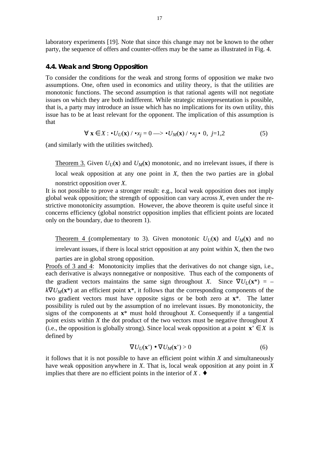laboratory experiments [19]. Note that since this change may not be known to the other party, the sequence of offers and counter-offers may be the same as illustrated in Fig. 4.

#### **4.4. Weak and Strong Opposition**

To consider the conditions for the weak and strong forms of opposition we make two assumptions. One, often used in economics and utility theory, is that the utilities are monotonic functions. The second assumption is that rational agents will not negotiate issues on which they are both indifferent. While strategic misrepresentation is possible, that is, a party may introduce an issue which has no implications for its own utility, this issue has to be at least relevant for the opponent. The implication of this assumption is that

$$
\forall \mathbf{x} \in X : \mathbf{C}U_U(\mathbf{x}) / \mathbf{C}x_j = 0 \Longrightarrow \mathbf{C}U_M(\mathbf{x}) / \mathbf{C}x_j \bullet 0, j=1,2
$$
 (5)

(and similarly with the utilities switched).

Theorem 3. Given  $U_U(\mathbf{x})$  and  $U_M(\mathbf{x})$  monotonic, and no irrelevant issues, if there is local weak opposition at any one point in *X*, then the two parties are in global nonstrict opposition over *X*.

It is not possible to prove a stronger result: e.g., local weak opposition does not imply global weak opposition; the strength of opposition can vary across *X*, even under the restrictive monotonicity assumption. However, the above theorem is quite useful since it concerns efficiency (global nonstrict opposition implies that efficient points are located only on the boundary, due to theorem 1).

Theorem 4 (complementary to 3). Given monotonic  $U_U(\mathbf{x})$  and  $U_M(\mathbf{x})$  and no irrelevant issues, if there is local strict opposition at any point within X, then the two parties are in global strong opposition.

Proofs of 3 and 4: Monotonicity implies that the derivatives do not change sign, i.e., each derivative is always nonnegative or nonpositive. Thus each of the components of the gradient vectors maintains the same sign throughout *X*. Since  $\nabla U_{U}(\mathbf{x}^*)$  = –  $k\nabla U_M(\mathbf{x}^*)$  at an efficient point  $\mathbf{x}^*$ , it follows that the corresponding components of the two gradient vectors must have opposite signs or be both zero at **x**\*. The latter possibility is ruled out by the assumption of no irrelevant issues. By monotonicity, the signs of the components at **x**\* must hold throughout *X*. Consequently if a tangential point exists within *X* the dot product of the two vectors must be negative throughout *X* (i.e., the opposition is globally strong). Since local weak opposition at a point  $\mathbf{x}' \in X$  is defined by

$$
\nabla U_U(\mathbf{x}') \bullet \nabla U_M(\mathbf{x}') > 0 \tag{6}
$$

it follows that it is not possible to have an efficient point within *X* and simultaneously have weak opposition anywhere in *X*. That is, local weak opposition at any point in *X* implies that there are no efficient points in the interior of  $X \rightarrow \bullet$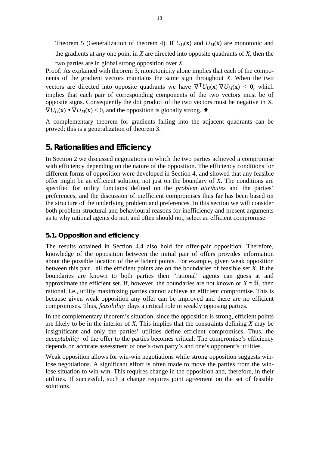Theorem 5 (Generalization of theorem 4). If  $U_U(\mathbf{x})$  and  $U_M(\mathbf{x})$  are monotonic and the gradients at any one point in *X* are directed into opposite quadrants of *X*, then the two parties are in global strong opposition over *X*.

Proof: As explained with theorem 3, monotonicity alone implies that each of the components of the gradient vectors maintains the same sign throughout *X*. When the two vectors are directed into opposite quadrants we have  $\nabla^T U_U(\mathbf{x}) \nabla U_M(\mathbf{x}) < 0$ , which implies that each pair of corresponding components of the two vectors must be of opposite signs. Consequently the dot product of the two vectors must be negative in X,  $\nabla U_{U}(\mathbf{x}) \bullet \nabla U_{M}(\mathbf{x}) < 0$ , and the opposition is globally strong.  $\bullet$ 

A complementary theorem for gradients falling into the adjacent quadrants can be proved; this is a generalization of theorem 3.

## **5. Rationalities and Efficiency**

In Section 2 we discussed negotiations in which the two parties achieved a compromise with efficiency depending on the nature of the opposition. The efficiency conditions for different forms of opposition were developed in Section 4, and showed that any feasible offer might be an efficient solution, not just on the boundary of *X*. The conditions are specified for utility functions defined on the *problem attributes* and the parties' preferences, and the discussion of inefficient compromises thus far has been based on the structure of the underlying problem and preferences. In this section we will consider both problem-structural and behavioural reasons for inefficiency and present arguments as to why rational agents do not, and often should not, select an efficient compromise.

## **5.1. Opposition and efficiency**

The results obtained in Section 4.4 also hold for offer-pair opposition. Therefore, knowledge of the opposition between the initial pair of offers provides information about the possible location of the efficient points. For example, given weak opposition between this pair, all the efficient points are on the boundaries of feasible set *X*. If the boundaries are known to both parties then "rational" agents can guess at and approximate the efficient set. If, however, the boundaries are not known or  $X = \Re$ , then rational, i.e., utility maximizing parties cannot achieve an efficient compromise. This is because given weak opposition any offer can be improved and there are no efficient compromises. Thus, *feasibility* plays a critical role in weakly opposing parties.

In the complementary theorem's situation, since the opposition is strong, efficient points are likely to be in the interior of *X*. This implies that the constraints defining *X* may be insignificant and only the parties' utilities define efficient compromises. Thus, the *acceptability* of the offer to the parties becomes critical. The compromise's efficiency depends on accurate assessment of one's own party's and one's opponent's utilities.

Weak opposition allows for win-win negotiations while strong opposition suggests winlose negotiations. A significant effort is often made to move the parties from the winlose situation to win-win. This requires change in the opposition and, therefore, in their utilities. If successful, such a change requires joint agreement on the set of feasible solutions.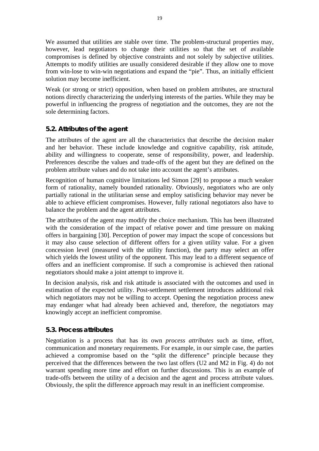We assumed that utilities are stable over time. The problem-structural properties may, however, lead negotiators to change their utilities so that the set of available compromises is defined by objective constraints and not solely by subjective utilities. Attempts to modify utilities are usually considered desirable if they allow one to move from win-lose to win-win negotiations and expand the "pie". Thus, an initially efficient solution may become inefficient.

Weak (or strong or strict) opposition, when based on problem attributes, are structural notions directly characterizing the underlying interests of the parties. While they may be powerful in influencing the progress of negotiation and the outcomes, they are not the sole determining factors.

## **5.2. Attributes of the agent**

The attributes of the agent are all the characteristics that describe the decision maker and her behavior. These include knowledge and cognitive capability, risk attitude, ability and willingness to cooperate, sense of responsibility, power, and leadership. Preferences describe the values and trade-offs of the agent but they are defined on the problem attribute values and do not take into account the agent's attributes.

Recognition of human cognitive limitations led Simon [29] to propose a much weaker form of rationality, namely bounded rationality. Obviously, negotiators who are only partially rational in the utilitarian sense and employ satisficing behavior may never be able to achieve efficient compromises. However, fully rational negotiators also have to balance the problem and the agent attributes.

The attributes of the agent may modify the choice mechanism. This has been illustrated with the consideration of the impact of relative power and time pressure on making offers in bargaining [30]. Perception of power may impact the scope of concessions but it may also cause selection of different offers for a given utility value. For a given concession level (measured with the utility function), the party may select an offer which yields the lowest utility of the opponent. This may lead to a different sequence of offers and an inefficient compromise. If such a compromise is achieved then rational negotiators should make a joint attempt to improve it.

In decision analysis, risk and risk attitude is associated with the outcomes and used in estimation of the expected utility. Post-settlement settlement introduces additional risk which negotiators may not be willing to accept. Opening the negotiation process anew may endanger what had already been achieved and, therefore, the negotiators may knowingly accept an inefficient compromise.

## **5.3. Process attributes**

Negotiation is a process that has its own *process attributes* such as time, effort, communication and monetary requirements. For example, in our simple case, the parties achieved a compromise based on the "split the difference" principle because they perceived that the differences between the two last offers (U2 and M2 in Fig. 4) do not warrant spending more time and effort on further discussions. This is an example of trade-offs between the utility of a decision and the agent and process attribute values. Obviously, the split the difference approach may result in an inefficient compromise.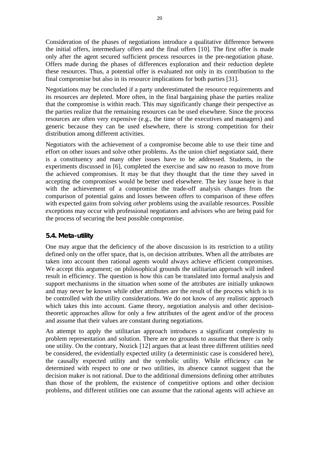Consideration of the phases of negotiations introduce a qualitative difference between the initial offers, intermediary offers and the final offers [10]. The first offer is made only after the agent secured sufficient process resources in the pre-negotiation phase. Offers made during the phases of differences exploration and their reduction deplete these resources. Thus, a potential offer is evaluated not only in its contribution to the final compromise but also in its resource implications for both parties [31].

Negotiations may be concluded if a party underestimated the resource requirements and its resources are depleted. More often, in the final bargaining phase the parties realize that the compromise is within reach. This may significantly change their perspective as the parties realize that the remaining resources can be used elsewhere. Since the process resources are often very expensive (e.g., the time of the executives and managers) and generic because they can be used elsewhere, there is strong competition for their distribution among different activities.

Negotiators with the achievement of a compromise become able to use their time and effort on other issues and solve other problems. As the union chief negotiator said, there is a constituency and many other issues have to be addressed. Students, in the experiments discussed in [6], completed the exercise and saw no reason to move from the achieved compromises. It may be that they thought that the time they saved in accepting the compromises would be better used elsewhere. The key issue here is that with the achievement of a compromise the trade-off analysis changes from the comparison of potential gains and losses between offers to comparison of these offers with expected gains from solving *other* problems using the available resources. Possible exceptions may occur with professional negotiators and advisors who are being paid for the process of securing the best possible compromise.

## **5.4. Meta-utility**

One may argue that the deficiency of the above discussion is its restriction to a utility defined only on the offer space, that is, on decision attributes. When all the attributes are taken into account then rational agents would always achieve efficient compromises. We accept this argument; on philosophical grounds the utilitarian approach will indeed result in efficiency. The question is how this can be translated into formal analysis and support mechanisms in the situation when some of the attributes are initially unknown and may never be known while other attributes are the result of the process which is to be controlled with the utility considerations. We do not know of any realistic approach which takes this into account. Game theory, negotiation analysis and other decisiontheoretic approaches allow for only a few attributes of the agent and/or of the process and assume that their values are constant during negotiations.

An attempt to apply the utilitarian approach introduces a significant complexity to problem representation and solution. There are no grounds to assume that there is only one utility. On the contrary, Nozick [12] argues that at least three different utilities need be considered, the evidentially expected utility (a deterministic case is considered here), the causally expected utility and the symbolic utility. While efficiency can be determined with respect to one or two utilities, its absence cannot suggest that the decision maker is not rational. Due to the additional dimensions defining other attributes than those of the problem, the existence of competitive options and other decision problems, and different utilities one can assume that the rational agents will achieve an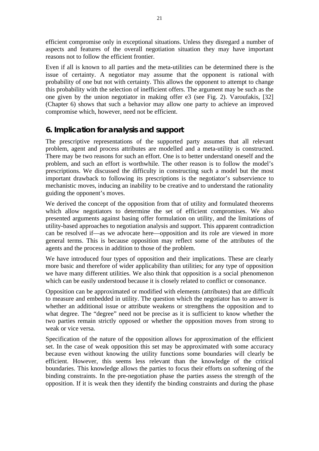efficient compromise only in exceptional situations. Unless they disregard a number of aspects and features of the overall negotiation situation they may have important reasons not to follow the efficient frontier.

Even if all is known to all parties and the meta-utilities can be determined there is the issue of certainty. A negotiator may assume that the opponent is rational with probability of one but not with certainty. This allows the opponent to attempt to change this probability with the selection of inefficient offers. The argument may be such as the one given by the union negotiator in making offer e3 (see Fig. 2). Varoufakis, [32] (Chapter 6) shows that such a behavior may allow one party to achieve an improved compromise which, however, need not be efficient.

## **6. Implication for analysis and support**

The prescriptive representations of the supported party assumes that all relevant problem, agent and process attributes are modelled and a meta-utility is constructed. There may be two reasons for such an effort. One is to better understand oneself and the problem, and such an effort is worthwhile. The other reason is to follow the model's prescriptions. We discussed the difficulty in constructing such a model but the most important drawback to following its prescriptions is the negotiator's subservience to mechanistic moves, inducing an inability to be creative and to understand the rationality guiding the opponent's moves.

We derived the concept of the opposition from that of utility and formulated theorems which allow negotiators to determine the set of efficient compromises. We also presented arguments against basing offer formulation on utility, and the limitations of utility-based approaches to negotiation analysis and support. This apparent contradiction can be resolved if—as we advocate here—opposition and its role are viewed in more general terms. This is because opposition may reflect some of the attributes of the agents and the process in addition to those of the problem.

We have introduced four types of opposition and their implications. These are clearly more basic and therefore of wider applicability than utilities; for any type of opposition we have many different utilities. We also think that opposition is a social phenomenon which can be easily understood because it is closely related to conflict or consonance.

Opposition can be approximated or modified with elements (attributes) that are difficult to measure and embedded in utility. The question which the negotiator has to answer is whether an additional issue or attribute weakens or strengthens the opposition and to what degree. The "degree" need not be precise as it is sufficient to know whether the two parties remain strictly opposed or whether the opposition moves from strong to weak or vice versa.

Specification of the nature of the opposition allows for approximation of the efficient set. In the case of weak opposition this set may be approximated with some accuracy because even without knowing the utility functions some boundaries will clearly be efficient. However, this seems less relevant than the knowledge of the critical boundaries. This knowledge allows the parties to focus their efforts on softening of the binding constraints. In the pre-negotiation phase the parties assess the strength of the opposition. If it is weak then they identify the binding constraints and during the phase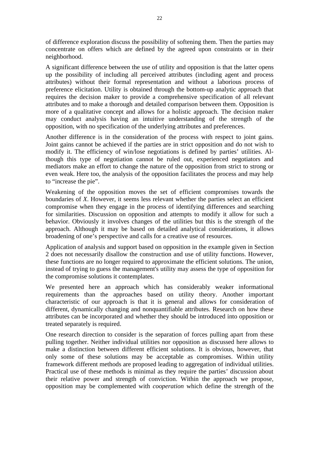of difference exploration discuss the possibility of softening them. Then the parties may concentrate on offers which are defined by the agreed upon constraints or in their neighborhood.

A significant difference between the use of utility and opposition is that the latter opens up the possibility of including all perceived attributes (including agent and process attributes) without their formal representation and without a laborious process of preference elicitation. Utility is obtained through the bottom-up analytic approach that requires the decision maker to provide a comprehensive specification of all relevant attributes and to make a thorough and detailed comparison between them. Opposition is more of a qualitative concept and allows for a holistic approach. The decision maker may conduct analysis having an intuitive understanding of the strength of the opposition, with no specification of the underlying attributes and preferences.

Another difference is in the consideration of the process with respect to joint gains. Joint gains cannot be achieved if the parties are in strict opposition and do not wish to modify it. The efficiency of win/lose negotiations is defined by parties' utilities. Although this type of negotiation cannot be ruled out, experienced negotiators and mediators make an effort to change the nature of the opposition from strict to strong or even weak. Here too, the analysis of the opposition facilitates the process and may help to "increase the pie".

Weakening of the opposition moves the set of efficient compromises towards the boundaries of *X*. However, it seems less relevant whether the parties select an efficient compromise when they engage in the process of identifying differences and searching for similarities. Discussion on opposition and attempts to modify it allow for such a behavior. Obviously it involves changes of the utilities but this is the strength of the approach. Although it may be based on detailed analytical considerations, it allows broadening of one's perspective and calls for a creative use of resources.

Application of analysis and support based on opposition in the example given in Section 2 does not necessarily disallow the construction and use of utility functions. However, these functions are no longer required to approximate the efficient solutions. The union, instead of trying to guess the management's utility may assess the type of opposition for the compromise solutions it contemplates.

We presented here an approach which has considerably weaker informational requirements than the approaches based on utility theory. Another important characteristic of our approach is that it is general and allows for consideration of different, dynamically changing and nonquantifiable attributes. Research on how these attributes can be incorporated and whether they should be introduced into opposition or treated separately is required.

One research direction to consider is the separation of forces pulling apart from these pulling together. Neither individual utilities nor opposition as discussed here allows to make a distinction between different efficient solutions. It is obvious, however, that only some of these solutions may be acceptable as compromises. Within utility framework different methods are proposed leading to aggregation of individual utilities. Practical use of these methods is minimal as they require the parties' discussion about their relative power and strength of conviction. Within the approach we propose, opposition may be complemented with *cooperation* which define the strength of the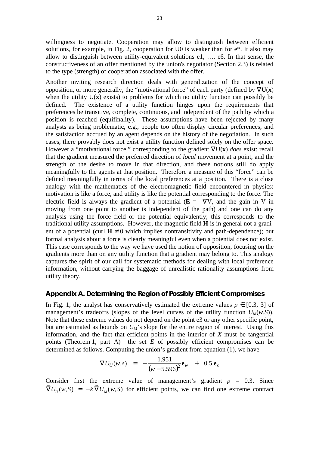willingness to negotiate. Cooperation may allow to distinguish between efficient solutions, for example, in Fig. 2, cooperation for U0 is weaker than for e\*. It also may allow to distinguish between utility-equivalent solutions e1, …, e6. In that sense, the constructiveness of an offer mentioned by the union's negotiator (Section 2.3) is related to the type (strength) of cooperation associated with the offer.

Another inviting research direction deals with generalization of the concept of opposition, or more generally, the "motivational force" of each party (defined by ∇U(**x**) when the utility  $U(x)$  exists) to problems for which no utility function can possibly be defined. The existence of a utility function hinges upon the requirements that preferences be transitive, complete, continuous, and independent of the path by which a position is reached (equifinality). These assumptions have been rejected by many analysts as being problematic, e.g., people too often display circular preferences, and the satisfaction accrued by an agent depends on the history of the negotiation. In such cases, there provably does not exist a utility function defined solely on the offer space. However a "motivational force," corresponding to the gradient ∇U(**x**) *does* exist: recall that the gradient measured the preferred direction of *local* movement at a point, and the strength of the desire to move in that direction, and these notions still do apply meaningfully to the agents at that position. Therefore a measure of this "force" can be defined meaningfully in terms of the local preferences at a position. There is a close analogy with the mathematics of the electromagnetic field encountered in physics: motivation is like a force, and utility is like the potential corresponding to the force. The electric field is always the gradient of a potential ( $E = -\nabla V$ , and the gain in V in moving from one point to another is independent of the path) and one can do any analysis using the force field or the potential equivalently; this corresponds to the traditional utility assumptions. However, the magnetic field **H** is in general not a gradient of a potential (curl  $H \neq 0$  which implies nontransitivity and path-dependence); but formal analysis about a force is clearly meaningful even when a potential does not exist. This case corresponds to the way we have used the notion of opposition, focusing on the gradients more than on any utility function that a gradient may belong to. This analogy captures the spirit of our call for systematic methods for dealing with local preference information, without carrying the baggage of unrealistic rationality assumptions from utility theory.

#### **Appendix A. Determining the Region of Possibly Efficient Compromises**

In Fig. 1, the analyst has conservatively estimated the extreme values  $p \in [0.3, 3]$  of management's tradeoffs (slopes of the level curves of the utility function  $U_M(w, S)$ ). Note that these extreme values do not depend on the point e3 or any other specific point, but are estimated as bounds on  $U_M$ 's slope for the entire region of interest. Using this information, and the fact that efficient points in the interior of *X* must be tangential points (Theorem 1, part A) the set *E* of possibly efficient compromises can be determined as follows. Computing the union's gradient from equation (1), we have

$$
\nabla U_U(w,s) = -\frac{1.951}{(w-5.596)^2} \mathbf{e}_w + 0.5 \mathbf{e}_s
$$

Consider first the extreme value of management's gradient  $p = 0.3$ . Since  $\nabla U_U(w, S) = -k \nabla U_M(w, S)$  for efficient points, we can find one extreme contract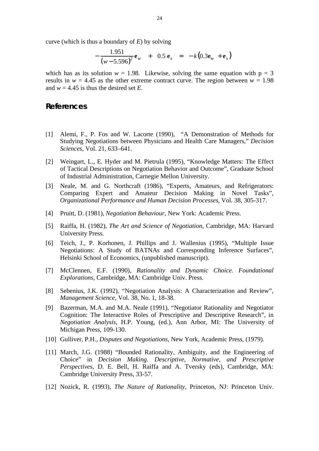curve (which is thus a boundary of *E*) by solving

$$
-\frac{1.951}{(w-5.596)^2}\mathbf{e}_w + 0.5 \mathbf{e}_s = -k(0.3\mathbf{e}_w + \mathbf{e}_s)
$$

which has as its solution  $w = 1.98$ . Likewise, solving the same equation with  $p = 3$ results in  $w = 4.45$  as the other extreme contract curve. The region between  $w = 1.98$ and  $w = 4.45$  is thus the desired set *E*.

#### **References**

- [1] Alemi, F., P. Fos and W. Lacorte (1990), "A Demonstration of Methods for Studying Negotiations between Physicians and Health Care Managers," *Decision Sciences*, Vol. 21, 633–641.
- [2] Weingart, L., E. Hyder and M. Pietrula (1995), "Knowledge Matters: The Effect of Tactical Descriptions on Negotiation Behavior and Outcome", Graduate School of Industrial Administration, Carnegie Mellon University.
- [3] Neale, M. and G. Northcraft (1986), "Experts, Amateurs, and Refrigerators: Comparing Expert and Amateur Decision Making in Novel Tasks", *Organizational Performance and Human Decision Processes*, Vol. 38, 305-317.
- [4] Pruitt, D. (1981), *Negotiation Behaviour*, New York: Academic Press.
- [5] Raiffa, H. (1982), *The Art and Science of Negotiation*, Cambridge, MA: Harvard University Press.
- [6] Teich, J., P. Korhonen, J. Phillips and J. Wallenius (1995), "Multiple Issue Negotiations: A Study of BATNAs and Corresponding Inference Surfaces", Helsinki School of Economics, (unpublished manuscript).
- [7] McClennen, E.F. (1990), *Rationality and Dynamic Choice. Foundational Explorations*, Cambridge, MA: Cambridge Univ. Press.
- [8] Sebenius, J.K. (1992), "Negotiation Analysis: A Characterization and Review", *Management Science*, Vol. 38, No. 1, 18-38.
- [9] Bazerman, M.A. and M.A. Neale (1991), "Negotiator Rationality and Negotiator Cognition: The Interactive Roles of Prescriptive and Descriptive Research", in *Negotiation Analysis*, H.P. Young, (ed.), Ann Arbor, MI: The University of Michigan Press, 109-130.
- [10] Gulliver, P.H., *Disputes and Negotiations*, New York, Academic Press, (1979).
- [11] March, J.G. (1988) "Bounded Rationality, Ambiguity, and the Engineering of Choice" in *Decision Making. Descriptive, Normative, and Prescriptive Perspectives*, D. E. Bell, H. Raiffa and A. Tversky (eds), Cambridge, MA: Cambridge University Press, 33-57.
- [12] Nozick, R. (1993), *The Nature of Rationality*, Princeton, NJ: Princeton Univ.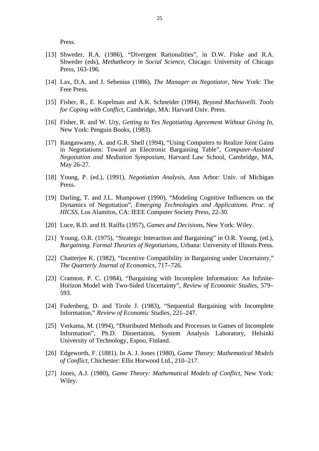Press.

- [13] Shweder, R.A. (1986), "Divergent Rationalities", in D.W. Fiske and R.A. Shweder (eds), *Methatheory in Social Science*, Chicago: University of Chicago Press, 163-196.
- [14] Lax, D.A. and J. Sebenius (1986), *The Manager as Negotiator*, New York: The Free Press.
- [15] Fisher, R., E. Kopelman and A.K. Schneider (1994), *Beyond Machiavelli. Tools for Coping with Conflict*, Cambridge, MA: Harvard Univ. Press.
- [16] Fisher, R. and W. Ury, *Getting to Yes Negotiating Agreement Without Giving In*, New York: Penguin Books, (1983).
- [17] Rangaswamy, A. and G.R. Shell (1994), "Using Computers to Realize Joint Gains in Negotiations: Toward an Electronic Bargaining Table", *Computer-Assisted Negotiation and Mediation Symposium*, Harvard Law School, Cambridge, MA, May 26-27.
- [18] Young, P. (ed.), (1991), *Negotiation Analysis*, Ann Arbor: Univ. of Michigan Press.
- [19] Darling, T. and J.L. Mumpower (1990), "Modeling Cognitive Influences on the Dynamics of Negotiation", *Emerging Technologies and Applications. Proc. of HICSS*, Los Alamitos, CA: IEEE Computer Society Press, 22-30.
- [20] Luce, R.D. and H. Raiffa (1957), *Games and Decisions*, New York: Wiley.
- [21] Young, O.R. (1975), "Strategic Interaction and Bargaining" in O.R. Young, (ed.), *Bargaining. Formal Theories of Negotiations,* Urbana: University of Illinois Press.
- [22] Chatterjee K. (1982), "Incentive Compatibility in Bargaining under Uncertainty," *The Quarterly Journal of Economics*, 717–726.
- [23] Cramton, P. C. (1984), "Bargaining with Incomplete Information: An Infinite-Horizon Model with Two-Sided Uncertainty", *Review of Economic Studies*, 579– 593.
- [24] Fudenberg, D. and Tirole J. (1983), "Sequential Bargaining with Incomplete Information," *Review of Economic Studies*, 221–247.
- [25] Verkama, M. (1994), "Distributed Methods and Processes in Games of Incomplete Information", Ph.D. Dissertation, System Analysis Laboratory, Helsinki University of Technology, Espoo, Finland.
- [26] Edgeworth, F. (1881). In A. J. Jones (1980), *Game Theory: Mathematical Models of Conflict*, Chichester: Ellis Horwood Ltd., 210–217.
- [27] Jones, A.J. (1980), *Game Theory: Mathematical Models of Conflict*, New York: Wiley.